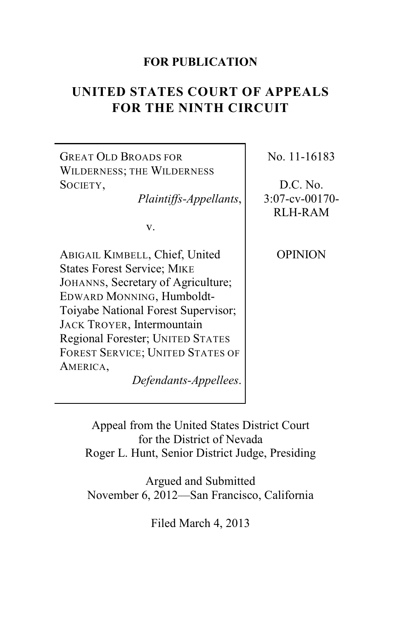## **FOR PUBLICATION**

# **UNITED STATES COURT OF APPEALS FOR THE NINTH CIRCUIT**

GREAT OLD BROADS FOR WILDERNESS; THE WILDERNESS SOCIETY,

*Plaintiffs-Appellants*,

v.

ABIGAIL KIMBELL, Chief, United States Forest Service; MIKE JOHANNS, Secretary of Agriculture; EDWARD MONNING, Humboldt-Toiyabe National Forest Supervisor; JACK TROYER, Intermountain Regional Forester; UNITED STATES FOREST SERVICE; UNITED STATES OF AMERICA,

*Defendants-Appellees*.

No. 11-16183

D.C. No. 3:07-cv-00170- RLH-RAM

OPINION

Appeal from the United States District Court for the District of Nevada Roger L. Hunt, Senior District Judge, Presiding

Argued and Submitted November 6, 2012—San Francisco, California

Filed March 4, 2013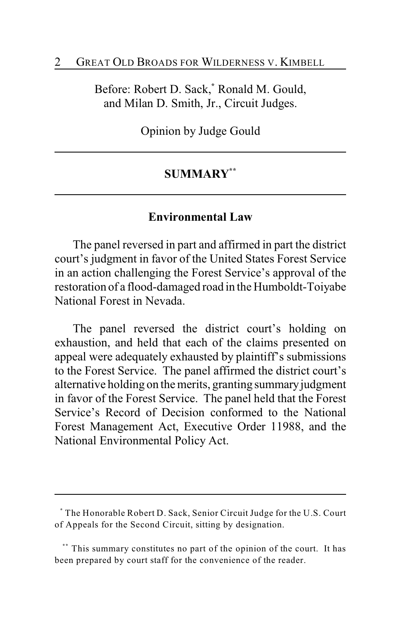#### 2 GREAT OLD BROADS FOR WILDERNESS V. KIMBELL

Before: Robert D. Sack,<sup>\*</sup> Ronald M. Gould, and Milan D. Smith, Jr., Circuit Judges.

Opinion by Judge Gould

### **SUMMARY \*\***

#### **Environmental Law**

The panel reversed in part and affirmed in part the district court's judgment in favor of the United States Forest Service in an action challenging the Forest Service's approval of the restoration of a flood-damaged road in the Humboldt-Toiyabe National Forest in Nevada.

The panel reversed the district court's holding on exhaustion, and held that each of the claims presented on appeal were adequately exhausted by plaintiff's submissions to the Forest Service. The panel affirmed the district court's alternative holding on the merits, granting summary judgment in favor of the Forest Service. The panel held that the Forest Service's Record of Decision conformed to the National Forest Management Act, Executive Order 11988, and the National Environmental Policy Act.

The Honorable Robert D. Sack, Senior Circuit Judge for the U.S. Court **\*** of Appeals for the Second Circuit, sitting by designation.

<sup>\*\*\*</sup> This summary constitutes no part of the opinion of the court. It has been prepared by court staff for the convenience of the reader.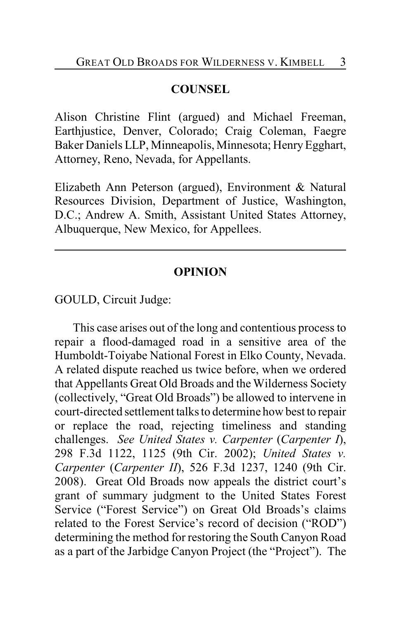# **COUNSEL**

Alison Christine Flint (argued) and Michael Freeman, Earthjustice, Denver, Colorado; Craig Coleman, Faegre Baker Daniels LLP, Minneapolis, Minnesota; Henry Egghart, Attorney, Reno, Nevada, for Appellants.

Elizabeth Ann Peterson (argued), Environment & Natural Resources Division, Department of Justice, Washington, D.C.; Andrew A. Smith, Assistant United States Attorney, Albuquerque, New Mexico, for Appellees.

## **OPINION**

GOULD, Circuit Judge:

This case arises out of the long and contentious process to repair a flood-damaged road in a sensitive area of the Humboldt-Toiyabe National Forest in Elko County, Nevada. A related dispute reached us twice before, when we ordered that Appellants Great Old Broads and the Wilderness Society (collectively, "Great Old Broads") be allowed to intervene in court-directed settlement talks to determine how best to repair or replace the road, rejecting timeliness and standing challenges. *See United States v. Carpenter* (*Carpenter I*), 298 F.3d 1122, 1125 (9th Cir. 2002); *United States v. Carpenter* (*Carpenter II*), 526 F.3d 1237, 1240 (9th Cir. 2008). Great Old Broads now appeals the district court's grant of summary judgment to the United States Forest Service ("Forest Service") on Great Old Broads's claims related to the Forest Service's record of decision ("ROD") determining the method for restoring the South Canyon Road as a part of the Jarbidge Canyon Project (the "Project"). The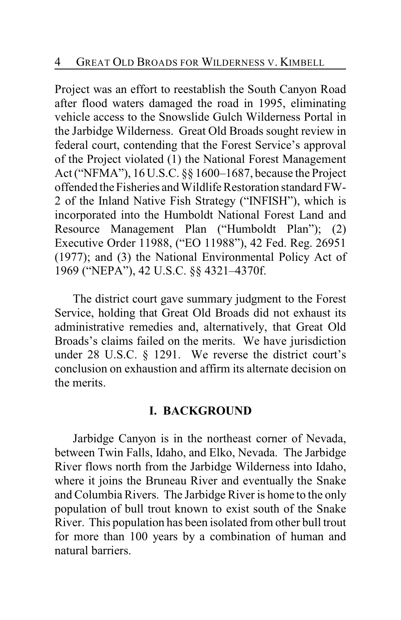Project was an effort to reestablish the South Canyon Road after flood waters damaged the road in 1995, eliminating vehicle access to the Snowslide Gulch Wilderness Portal in the Jarbidge Wilderness. Great Old Broads sought review in federal court, contending that the Forest Service's approval of the Project violated (1) the National Forest Management Act ("NFMA"), 16 U.S.C. §§ 1600–1687, because the Project offended the Fisheries and Wildlife Restoration standard FW-2 of the Inland Native Fish Strategy ("INFISH"), which is incorporated into the Humboldt National Forest Land and Resource Management Plan ("Humboldt Plan"); (2) Executive Order 11988, ("EO 11988"), 42 Fed. Reg. 26951 (1977); and (3) the National Environmental Policy Act of 1969 ("NEPA"), 42 U.S.C. §§ 4321–4370f.

The district court gave summary judgment to the Forest Service, holding that Great Old Broads did not exhaust its administrative remedies and, alternatively, that Great Old Broads's claims failed on the merits. We have jurisdiction under 28 U.S.C. § 1291. We reverse the district court's conclusion on exhaustion and affirm its alternate decision on the merits.

## **I. BACKGROUND**

Jarbidge Canyon is in the northeast corner of Nevada, between Twin Falls, Idaho, and Elko, Nevada. The Jarbidge River flows north from the Jarbidge Wilderness into Idaho, where it joins the Bruneau River and eventually the Snake and Columbia Rivers. The Jarbidge River is home to the only population of bull trout known to exist south of the Snake River. This population has been isolated from other bull trout for more than 100 years by a combination of human and natural barriers.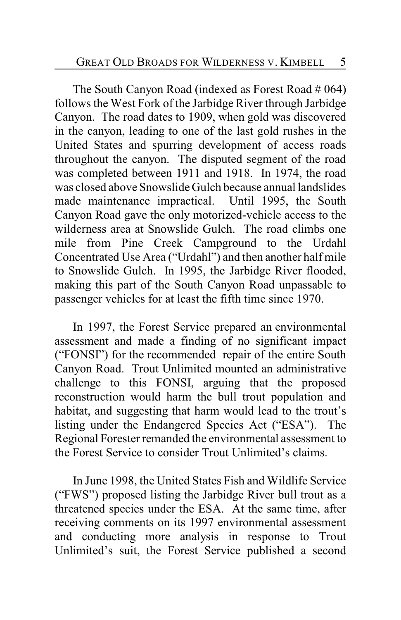The South Canyon Road (indexed as Forest Road # 064) follows the West Fork of the Jarbidge River through Jarbidge Canyon. The road dates to 1909, when gold was discovered in the canyon, leading to one of the last gold rushes in the United States and spurring development of access roads throughout the canyon. The disputed segment of the road was completed between 1911 and 1918. In 1974, the road was closed above Snowslide Gulch because annual landslides made maintenance impractical. Until 1995, the South Canyon Road gave the only motorized-vehicle access to the wilderness area at Snowslide Gulch. The road climbs one mile from Pine Creek Campground to the Urdahl Concentrated Use Area ("Urdahl") and then another half mile to Snowslide Gulch. In 1995, the Jarbidge River flooded, making this part of the South Canyon Road unpassable to passenger vehicles for at least the fifth time since 1970.

In 1997, the Forest Service prepared an environmental assessment and made a finding of no significant impact ("FONSI") for the recommended repair of the entire South Canyon Road. Trout Unlimited mounted an administrative challenge to this FONSI, arguing that the proposed reconstruction would harm the bull trout population and habitat, and suggesting that harm would lead to the trout's listing under the Endangered Species Act ("ESA"). The Regional Forester remanded the environmental assessment to the Forest Service to consider Trout Unlimited's claims.

In June 1998, the United States Fish and Wildlife Service ("FWS") proposed listing the Jarbidge River bull trout as a threatened species under the ESA. At the same time, after receiving comments on its 1997 environmental assessment and conducting more analysis in response to Trout Unlimited's suit, the Forest Service published a second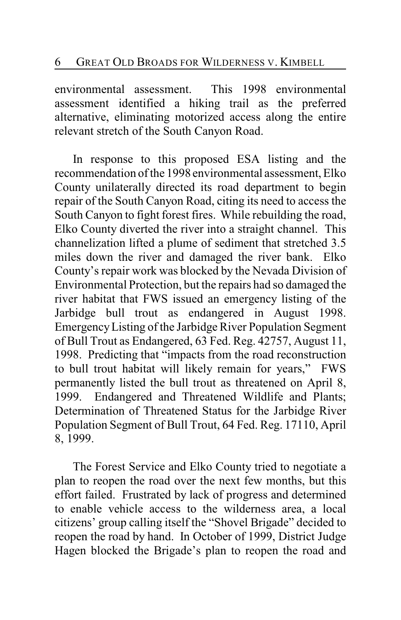environmental assessment. This 1998 environmental assessment identified a hiking trail as the preferred alternative, eliminating motorized access along the entire relevant stretch of the South Canyon Road.

In response to this proposed ESA listing and the recommendation of the 1998 environmental assessment, Elko County unilaterally directed its road department to begin repair of the South Canyon Road, citing its need to access the South Canyon to fight forest fires. While rebuilding the road, Elko County diverted the river into a straight channel. This channelization lifted a plume of sediment that stretched 3.5 miles down the river and damaged the river bank. Elko County's repair work was blocked by the Nevada Division of Environmental Protection, but the repairs had so damaged the river habitat that FWS issued an emergency listing of the Jarbidge bull trout as endangered in August 1998. EmergencyListing of the Jarbidge River Population Segment of Bull Trout as Endangered, 63 Fed. Reg. 42757, August 11, 1998. Predicting that "impacts from the road reconstruction to bull trout habitat will likely remain for years," FWS permanently listed the bull trout as threatened on April 8, 1999. Endangered and Threatened Wildlife and Plants; Determination of Threatened Status for the Jarbidge River Population Segment of Bull Trout, 64 Fed. Reg. 17110, April 8, 1999.

The Forest Service and Elko County tried to negotiate a plan to reopen the road over the next few months, but this effort failed. Frustrated by lack of progress and determined to enable vehicle access to the wilderness area, a local citizens' group calling itself the "Shovel Brigade" decided to reopen the road by hand. In October of 1999, District Judge Hagen blocked the Brigade's plan to reopen the road and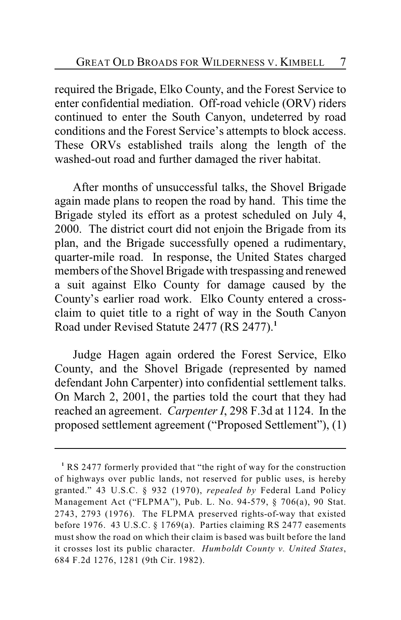required the Brigade, Elko County, and the Forest Service to enter confidential mediation. Off-road vehicle (ORV) riders continued to enter the South Canyon, undeterred by road conditions and the Forest Service's attempts to block access. These ORVs established trails along the length of the washed-out road and further damaged the river habitat.

After months of unsuccessful talks, the Shovel Brigade again made plans to reopen the road by hand. This time the Brigade styled its effort as a protest scheduled on July 4, 2000. The district court did not enjoin the Brigade from its plan, and the Brigade successfully opened a rudimentary, quarter-mile road. In response, the United States charged members of the Shovel Brigade with trespassing and renewed a suit against Elko County for damage caused by the County's earlier road work. Elko County entered a crossclaim to quiet title to a right of way in the South Canyon Road under Revised Statute 2477 (RS 2477).**<sup>1</sup>**

Judge Hagen again ordered the Forest Service, Elko County, and the Shovel Brigade (represented by named defendant John Carpenter) into confidential settlement talks. On March 2, 2001, the parties told the court that they had reached an agreement. *Carpenter I*, 298 F.3d at 1124. In the proposed settlement agreement ("Proposed Settlement"), (1)

RS 2477 formerly provided that "the right of way for the construction **<sup>1</sup>** of highways over public lands, not reserved for public uses, is hereby granted." 43 U.S.C. § 932 (1970), *repealed by* Federal Land Policy Management Act ("FLPMA"), Pub. L. No. 94-579, § 706(a), 90 Stat. 2743, 2793 (1976). The FLPMA preserved rights-of-way that existed before 1976. 43 U.S.C. § 1769(a). Parties claiming RS 2477 easements must show the road on which their claim is based was built before the land it crosses lost its public character. *Humboldt County v. United States*, 684 F.2d 1276, 1281 (9th Cir. 1982).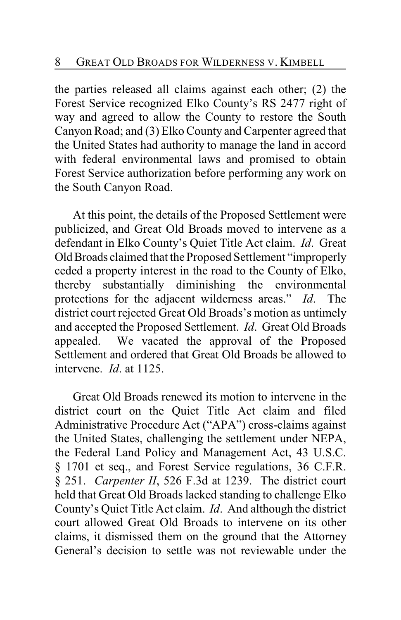the parties released all claims against each other; (2) the Forest Service recognized Elko County's RS 2477 right of way and agreed to allow the County to restore the South Canyon Road; and (3) Elko County and Carpenter agreed that the United States had authority to manage the land in accord with federal environmental laws and promised to obtain Forest Service authorization before performing any work on the South Canyon Road.

At this point, the details of the Proposed Settlement were publicized, and Great Old Broads moved to intervene as a defendant in Elko County's Quiet Title Act claim. *Id*. Great Old Broads claimed that the Proposed Settlement "improperly ceded a property interest in the road to the County of Elko, thereby substantially diminishing the environmental protections for the adjacent wilderness areas." *Id*. The district court rejected Great Old Broads's motion as untimely and accepted the Proposed Settlement. *Id*. Great Old Broads appealed. We vacated the approval of the Proposed Settlement and ordered that Great Old Broads be allowed to intervene. *Id*. at 1125.

Great Old Broads renewed its motion to intervene in the district court on the Quiet Title Act claim and filed Administrative Procedure Act ("APA") cross-claims against the United States, challenging the settlement under NEPA, the Federal Land Policy and Management Act, 43 U.S.C. § 1701 et seq., and Forest Service regulations, 36 C.F.R. § 251. *Carpenter II*, 526 F.3d at 1239. The district court held that Great Old Broads lacked standing to challenge Elko County's Quiet Title Act claim. *Id*. And although the district court allowed Great Old Broads to intervene on its other claims, it dismissed them on the ground that the Attorney General's decision to settle was not reviewable under the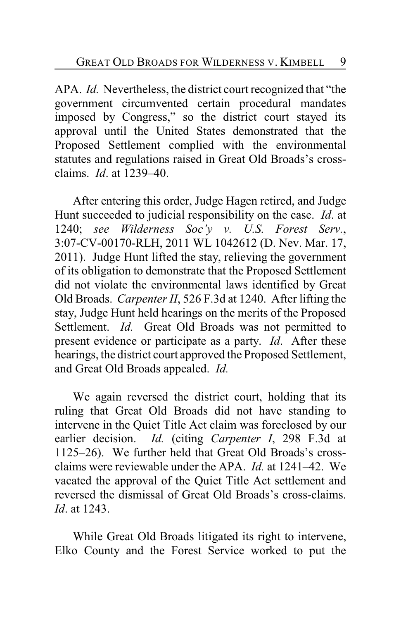APA. *Id.* Nevertheless, the district court recognized that "the government circumvented certain procedural mandates imposed by Congress," so the district court stayed its approval until the United States demonstrated that the Proposed Settlement complied with the environmental statutes and regulations raised in Great Old Broads's crossclaims. *Id*. at 1239–40.

After entering this order, Judge Hagen retired, and Judge Hunt succeeded to judicial responsibility on the case. *Id*. at 1240; *see Wilderness Soc'y v. U.S. Forest Serv.*, 3:07-CV-00170-RLH, 2011 WL 1042612 (D. Nev. Mar. 17, 2011). Judge Hunt lifted the stay, relieving the government of its obligation to demonstrate that the Proposed Settlement did not violate the environmental laws identified by Great Old Broads. *Carpenter II*, 526 F.3d at 1240. After lifting the stay, Judge Hunt held hearings on the merits of the Proposed Settlement. *Id.* Great Old Broads was not permitted to present evidence or participate as a party. *Id*. After these hearings, the district court approved the Proposed Settlement, and Great Old Broads appealed. *Id.*

We again reversed the district court, holding that its ruling that Great Old Broads did not have standing to intervene in the Quiet Title Act claim was foreclosed by our earlier decision. *Id.* (citing *Carpenter I*, 298 F.3d at 1125–26). We further held that Great Old Broads's crossclaims were reviewable under the APA. *Id.* at 1241–42. We vacated the approval of the Quiet Title Act settlement and reversed the dismissal of Great Old Broads's cross-claims. *Id*. at 1243.

While Great Old Broads litigated its right to intervene, Elko County and the Forest Service worked to put the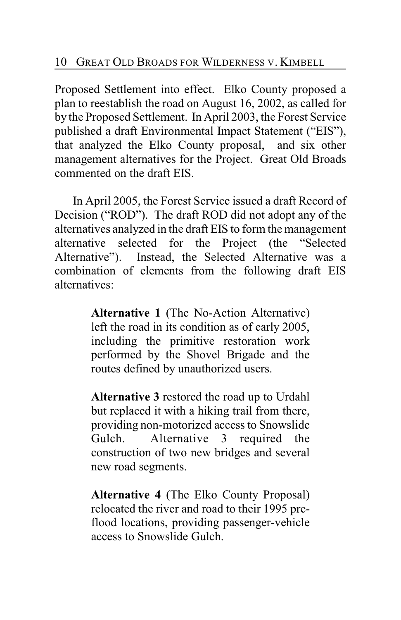Proposed Settlement into effect. Elko County proposed a plan to reestablish the road on August 16, 2002, as called for by the Proposed Settlement. In April 2003, the Forest Service published a draft Environmental Impact Statement ("EIS"), that analyzed the Elko County proposal, and six other management alternatives for the Project. Great Old Broads commented on the draft EIS.

In April 2005, the Forest Service issued a draft Record of Decision ("ROD"). The draft ROD did not adopt any of the alternatives analyzed in the draft EIS to form the management alternative selected for the Project (the "Selected Alternative"). Instead, the Selected Alternative was a combination of elements from the following draft EIS alternatives:

> **Alternative 1** (The No-Action Alternative) left the road in its condition as of early 2005, including the primitive restoration work performed by the Shovel Brigade and the routes defined by unauthorized users.

> **Alternative 3** restored the road up to Urdahl but replaced it with a hiking trail from there, providing non-motorized access to Snowslide Gulch. Alternative 3 required the construction of two new bridges and several new road segments.

> **Alternative 4** (The Elko County Proposal) relocated the river and road to their 1995 preflood locations, providing passenger-vehicle access to Snowslide Gulch.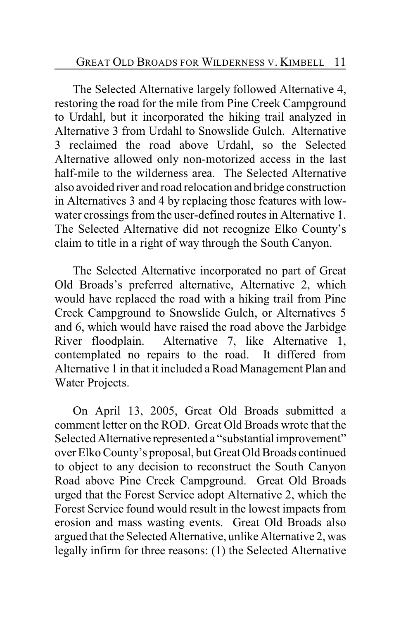The Selected Alternative largely followed Alternative 4, restoring the road for the mile from Pine Creek Campground to Urdahl, but it incorporated the hiking trail analyzed in Alternative 3 from Urdahl to Snowslide Gulch. Alternative 3 reclaimed the road above Urdahl, so the Selected Alternative allowed only non-motorized access in the last half-mile to the wilderness area. The Selected Alternative also avoided river and road relocation and bridge construction in Alternatives 3 and 4 by replacing those features with lowwater crossings from the user-defined routes in Alternative 1. The Selected Alternative did not recognize Elko County's claim to title in a right of way through the South Canyon.

The Selected Alternative incorporated no part of Great Old Broads's preferred alternative, Alternative 2, which would have replaced the road with a hiking trail from Pine Creek Campground to Snowslide Gulch, or Alternatives 5 and 6, which would have raised the road above the Jarbidge River floodplain. Alternative 7, like Alternative 1, contemplated no repairs to the road. It differed from Alternative 1 in that it included a Road Management Plan and Water Projects.

On April 13, 2005, Great Old Broads submitted a comment letter on the ROD. Great Old Broads wrote that the Selected Alternative represented a "substantial improvement" over Elko County's proposal, but Great Old Broads continued to object to any decision to reconstruct the South Canyon Road above Pine Creek Campground. Great Old Broads urged that the Forest Service adopt Alternative 2, which the Forest Service found would result in the lowest impacts from erosion and mass wasting events. Great Old Broads also argued that the Selected Alternative, unlike Alternative 2, was legally infirm for three reasons: (1) the Selected Alternative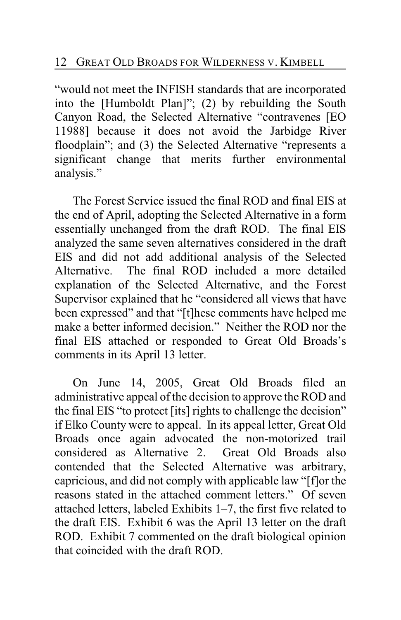"would not meet the INFISH standards that are incorporated into the [Humboldt Plan]"; (2) by rebuilding the South Canyon Road, the Selected Alternative "contravenes [EO 11988] because it does not avoid the Jarbidge River floodplain"; and (3) the Selected Alternative "represents a significant change that merits further environmental analysis."

The Forest Service issued the final ROD and final EIS at the end of April, adopting the Selected Alternative in a form essentially unchanged from the draft ROD. The final EIS analyzed the same seven alternatives considered in the draft EIS and did not add additional analysis of the Selected Alternative. The final ROD included a more detailed explanation of the Selected Alternative, and the Forest Supervisor explained that he "considered all views that have been expressed" and that "[t]hese comments have helped me make a better informed decision." Neither the ROD nor the final EIS attached or responded to Great Old Broads's comments in its April 13 letter.

On June 14, 2005, Great Old Broads filed an administrative appeal of the decision to approve the ROD and the final EIS "to protect [its] rights to challenge the decision" if Elko County were to appeal. In its appeal letter, Great Old Broads once again advocated the non-motorized trail considered as Alternative 2. Great Old Broads also contended that the Selected Alternative was arbitrary, capricious, and did not comply with applicable law "[f]or the reasons stated in the attached comment letters." Of seven attached letters, labeled Exhibits 1–7, the first five related to the draft EIS. Exhibit 6 was the April 13 letter on the draft ROD. Exhibit 7 commented on the draft biological opinion that coincided with the draft ROD.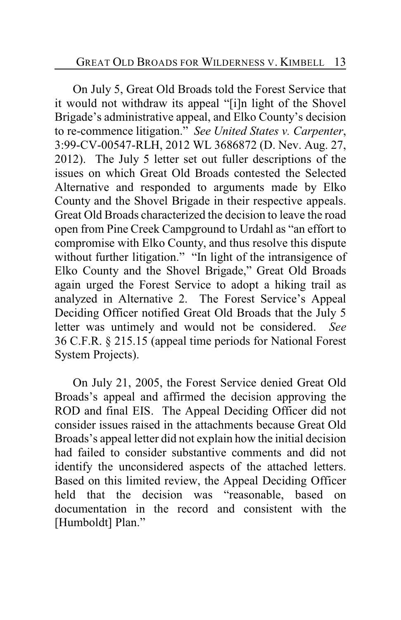On July 5, Great Old Broads told the Forest Service that it would not withdraw its appeal "[i]n light of the Shovel Brigade's administrative appeal, and Elko County's decision to re-commence litigation." *See United States v. Carpenter*, 3:99-CV-00547-RLH, 2012 WL 3686872 (D. Nev. Aug. 27, 2012). The July 5 letter set out fuller descriptions of the issues on which Great Old Broads contested the Selected Alternative and responded to arguments made by Elko County and the Shovel Brigade in their respective appeals. Great Old Broads characterized the decision to leave the road open from Pine Creek Campground to Urdahl as "an effort to compromise with Elko County, and thus resolve this dispute without further litigation." "In light of the intransigence of Elko County and the Shovel Brigade," Great Old Broads again urged the Forest Service to adopt a hiking trail as analyzed in Alternative 2. The Forest Service's Appeal Deciding Officer notified Great Old Broads that the July 5 letter was untimely and would not be considered. *See* 36 C.F.R. § 215.15 (appeal time periods for National Forest System Projects).

On July 21, 2005, the Forest Service denied Great Old Broads's appeal and affirmed the decision approving the ROD and final EIS. The Appeal Deciding Officer did not consider issues raised in the attachments because Great Old Broads's appeal letter did not explain how the initial decision had failed to consider substantive comments and did not identify the unconsidered aspects of the attached letters. Based on this limited review, the Appeal Deciding Officer held that the decision was "reasonable, based on documentation in the record and consistent with the [Humboldt] Plan."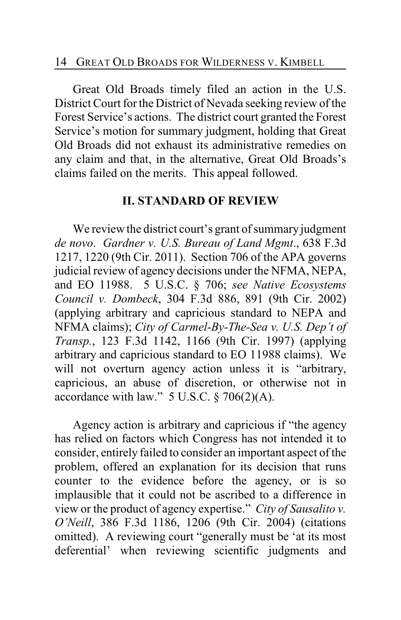Great Old Broads timely filed an action in the U.S. District Court for the District of Nevada seeking review of the Forest Service's actions. The district court granted the Forest Service's motion for summary judgment, holding that Great Old Broads did not exhaust its administrative remedies on any claim and that, in the alternative, Great Old Broads's claims failed on the merits. This appeal followed.

## **II. STANDARD OF REVIEW**

We review the district court's grant of summary judgment *de novo*. *Gardner v. U.S. Bureau of Land Mgmt*., 638 F.3d 1217, 1220 (9th Cir. 2011). Section 706 of the APA governs judicial review of agency decisions under the NFMA, NEPA, and EO 11988. 5 U.S.C. § 706; *see Native Ecosystems Council v. Dombeck*, 304 F.3d 886, 891 (9th Cir. 2002) (applying arbitrary and capricious standard to NEPA and NFMA claims); *City of Carmel-By-The-Sea v. U.S. Dep't of Transp.*, 123 F.3d 1142, 1166 (9th Cir. 1997) (applying arbitrary and capricious standard to EO 11988 claims). We will not overturn agency action unless it is "arbitrary, capricious, an abuse of discretion, or otherwise not in accordance with law."  $5$  U.S.C.  $\S$  706(2)(A).

Agency action is arbitrary and capricious if "the agency has relied on factors which Congress has not intended it to consider, entirely failed to consider an important aspect of the problem, offered an explanation for its decision that runs counter to the evidence before the agency, or is so implausible that it could not be ascribed to a difference in view or the product of agency expertise." *City of Sausalito v. O'Neill*, 386 F.3d 1186, 1206 (9th Cir. 2004) (citations omitted). A reviewing court "generally must be 'at its most deferential' when reviewing scientific judgments and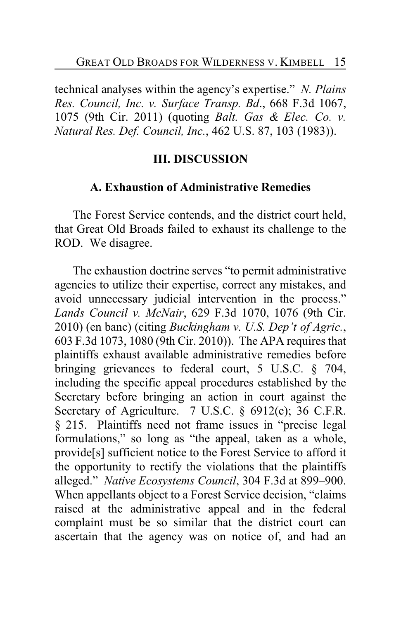technical analyses within the agency's expertise." *N. Plains Res. Council, Inc. v. Surface Transp. Bd*., 668 F.3d 1067, 1075 (9th Cir. 2011) (quoting *Balt. Gas & Elec. Co. v. Natural Res. Def. Council, Inc.*, 462 U.S. 87, 103 (1983)).

#### **III. DISCUSSION**

#### **A. Exhaustion of Administrative Remedies**

The Forest Service contends, and the district court held, that Great Old Broads failed to exhaust its challenge to the ROD. We disagree.

The exhaustion doctrine serves "to permit administrative agencies to utilize their expertise, correct any mistakes, and avoid unnecessary judicial intervention in the process." *Lands Council v. McNair*, 629 F.3d 1070, 1076 (9th Cir. 2010) (en banc) (citing *Buckingham v. U.S. Dep't of Agric.*, 603 F.3d 1073, 1080 (9th Cir. 2010)). The APA requires that plaintiffs exhaust available administrative remedies before bringing grievances to federal court, 5 U.S.C. § 704, including the specific appeal procedures established by the Secretary before bringing an action in court against the Secretary of Agriculture. 7 U.S.C. § 6912(e); 36 C.F.R. § 215. Plaintiffs need not frame issues in "precise legal formulations," so long as "the appeal, taken as a whole, provide[s] sufficient notice to the Forest Service to afford it the opportunity to rectify the violations that the plaintiffs alleged." *Native Ecosystems Council*, 304 F.3d at 899–900. When appellants object to a Forest Service decision, "claims raised at the administrative appeal and in the federal complaint must be so similar that the district court can ascertain that the agency was on notice of, and had an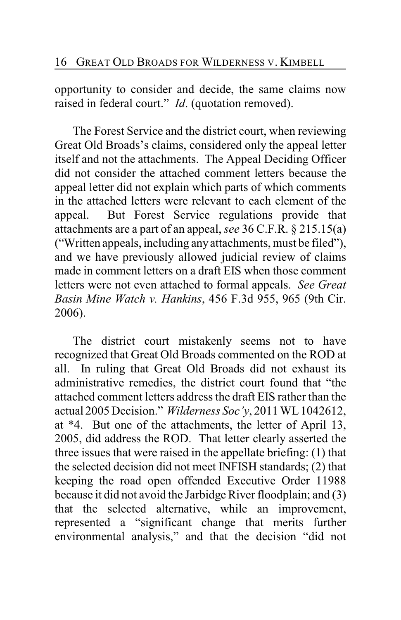opportunity to consider and decide, the same claims now raised in federal court." *Id*. (quotation removed).

The Forest Service and the district court, when reviewing Great Old Broads's claims, considered only the appeal letter itself and not the attachments. The Appeal Deciding Officer did not consider the attached comment letters because the appeal letter did not explain which parts of which comments in the attached letters were relevant to each element of the appeal. But Forest Service regulations provide that attachments are a part of an appeal, *see* 36 C.F.R. § 215.15(a) ("Written appeals, including any attachments, must be filed"), and we have previously allowed judicial review of claims made in comment letters on a draft EIS when those comment letters were not even attached to formal appeals. *See Great Basin Mine Watch v. Hankins*, 456 F.3d 955, 965 (9th Cir. 2006).

The district court mistakenly seems not to have recognized that Great Old Broads commented on the ROD at all. In ruling that Great Old Broads did not exhaust its administrative remedies, the district court found that "the attached comment letters address the draft EIS rather than the actual 2005 Decision." *Wilderness Soc'y*, 2011 WL 1042612, at \*4. But one of the attachments, the letter of April 13, 2005, did address the ROD. That letter clearly asserted the three issues that were raised in the appellate briefing: (1) that the selected decision did not meet INFISH standards; (2) that keeping the road open offended Executive Order 11988 because it did not avoid the Jarbidge River floodplain; and (3) that the selected alternative, while an improvement, represented a "significant change that merits further environmental analysis," and that the decision "did not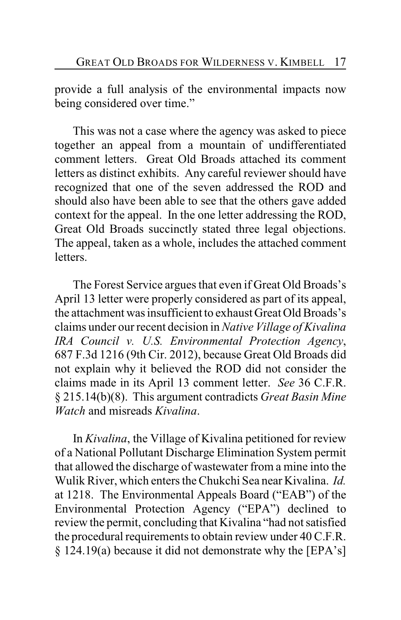provide a full analysis of the environmental impacts now being considered over time."

This was not a case where the agency was asked to piece together an appeal from a mountain of undifferentiated comment letters. Great Old Broads attached its comment letters as distinct exhibits. Any careful reviewer should have recognized that one of the seven addressed the ROD and should also have been able to see that the others gave added context for the appeal. In the one letter addressing the ROD, Great Old Broads succinctly stated three legal objections. The appeal, taken as a whole, includes the attached comment **letters** 

The Forest Service argues that even if Great Old Broads's April 13 letter were properly considered as part of its appeal, the attachment was insufficient to exhaust Great Old Broads's claims under our recent decision in *Native Village of Kivalina IRA Council v. U.S. Environmental Protection Agency*, 687 F.3d 1216 (9th Cir. 2012), because Great Old Broads did not explain why it believed the ROD did not consider the claims made in its April 13 comment letter. *See* 36 C.F.R. § 215.14(b)(8). This argument contradicts *Great Basin Mine Watch* and misreads *Kivalina*.

In *Kivalina*, the Village of Kivalina petitioned for review of a National Pollutant Discharge Elimination System permit that allowed the discharge of wastewater from a mine into the Wulik River, which enters the Chukchi Sea near Kivalina. *Id.* at 1218. The Environmental Appeals Board ("EAB") of the Environmental Protection Agency ("EPA") declined to review the permit, concluding that Kivalina "had not satisfied the procedural requirements to obtain review under 40 C.F.R. § 124.19(a) because it did not demonstrate why the [EPA's]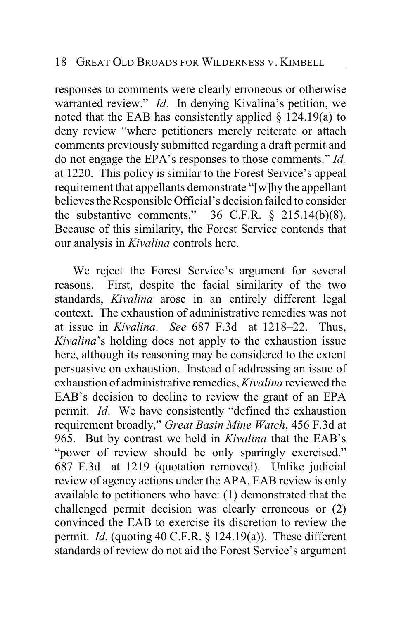responses to comments were clearly erroneous or otherwise warranted review." *Id*. In denying Kivalina's petition, we noted that the EAB has consistently applied  $\S$  124.19(a) to deny review "where petitioners merely reiterate or attach comments previously submitted regarding a draft permit and do not engage the EPA's responses to those comments." *Id.* at 1220. This policy is similar to the Forest Service's appeal requirement that appellants demonstrate "[w]hy the appellant believes the Responsible Official's decision failed to consider the substantive comments."  $36$  C.F.R.  $\S$  215.14(b)(8). Because of this similarity, the Forest Service contends that our analysis in *Kivalina* controls here.

We reject the Forest Service's argument for several reasons. First, despite the facial similarity of the two standards, *Kivalina* arose in an entirely different legal context. The exhaustion of administrative remedies was not at issue in *Kivalina*. *See* 687 F.3d at 1218–22. Thus, *Kivalina*'s holding does not apply to the exhaustion issue here, although its reasoning may be considered to the extent persuasive on exhaustion. Instead of addressing an issue of exhaustion of administrative remedies, *Kivalina* reviewed the EAB's decision to decline to review the grant of an EPA permit. *Id*. We have consistently "defined the exhaustion requirement broadly," *Great Basin Mine Watch*, 456 F.3d at 965. But by contrast we held in *Kivalina* that the EAB's "power of review should be only sparingly exercised." 687 F.3d at 1219 (quotation removed). Unlike judicial review of agency actions under the APA, EAB review is only available to petitioners who have: (1) demonstrated that the challenged permit decision was clearly erroneous or (2) convinced the EAB to exercise its discretion to review the permit. *Id.* (quoting 40 C.F.R. § 124.19(a)). These different standards of review do not aid the Forest Service's argument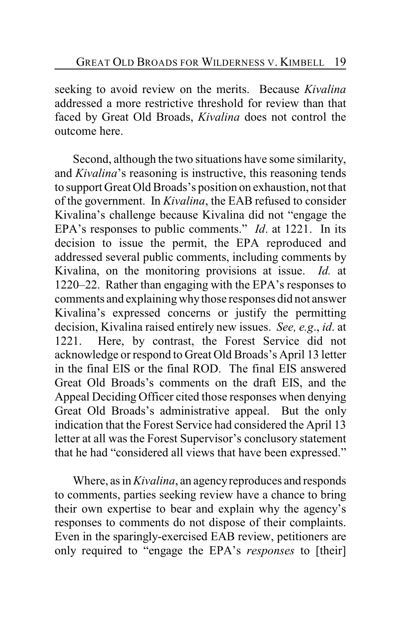seeking to avoid review on the merits. Because *Kivalina* addressed a more restrictive threshold for review than that faced by Great Old Broads, *Kivalina* does not control the outcome here.

Second, although the two situations have some similarity, and *Kivalina*'s reasoning is instructive, this reasoning tends to support Great Old Broads's position on exhaustion, not that of the government. In *Kivalina*, the EAB refused to consider Kivalina's challenge because Kivalina did not "engage the EPA's responses to public comments." *Id*. at 1221. In its decision to issue the permit, the EPA reproduced and addressed several public comments, including comments by Kivalina, on the monitoring provisions at issue. *Id.* at 1220–22. Rather than engaging with the EPA's responses to comments and explaining why those responses did not answer Kivalina's expressed concerns or justify the permitting decision, Kivalina raised entirely new issues. *See, e.g*., *id*. at 1221. Here, by contrast, the Forest Service did not acknowledge or respond to Great Old Broads's April 13 letter in the final EIS or the final ROD. The final EIS answered Great Old Broads's comments on the draft EIS, and the Appeal Deciding Officer cited those responses when denying Great Old Broads's administrative appeal. But the only indication that the Forest Service had considered the April 13 letter at all was the Forest Supervisor's conclusory statement that he had "considered all views that have been expressed."

Where, as in *Kivalina*, an agency reproduces and responds to comments, parties seeking review have a chance to bring their own expertise to bear and explain why the agency's responses to comments do not dispose of their complaints. Even in the sparingly-exercised EAB review, petitioners are only required to "engage the EPA's *responses* to [their]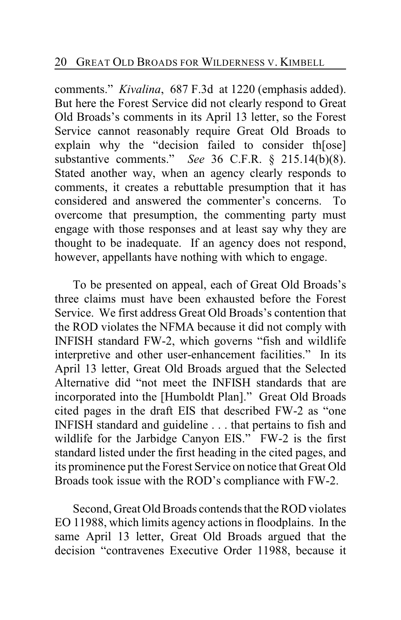comments." *Kivalina*, 687 F.3d at 1220 (emphasis added). But here the Forest Service did not clearly respond to Great Old Broads's comments in its April 13 letter, so the Forest Service cannot reasonably require Great Old Broads to explain why the "decision failed to consider th[ose] substantive comments." *See* 36 C.F.R. § 215.14(b)(8). Stated another way, when an agency clearly responds to comments, it creates a rebuttable presumption that it has considered and answered the commenter's concerns. To overcome that presumption, the commenting party must engage with those responses and at least say why they are thought to be inadequate. If an agency does not respond, however, appellants have nothing with which to engage.

To be presented on appeal, each of Great Old Broads's three claims must have been exhausted before the Forest Service. We first address Great Old Broads's contention that the ROD violates the NFMA because it did not comply with INFISH standard FW-2, which governs "fish and wildlife interpretive and other user-enhancement facilities." In its April 13 letter, Great Old Broads argued that the Selected Alternative did "not meet the INFISH standards that are incorporated into the [Humboldt Plan]." Great Old Broads cited pages in the draft EIS that described FW-2 as "one INFISH standard and guideline . . . that pertains to fish and wildlife for the Jarbidge Canyon EIS." FW-2 is the first standard listed under the first heading in the cited pages, and its prominence put the Forest Service on notice that Great Old Broads took issue with the ROD's compliance with FW-2.

Second, Great Old Broads contends that the ROD violates EO 11988, which limits agency actions in floodplains. In the same April 13 letter, Great Old Broads argued that the decision "contravenes Executive Order 11988, because it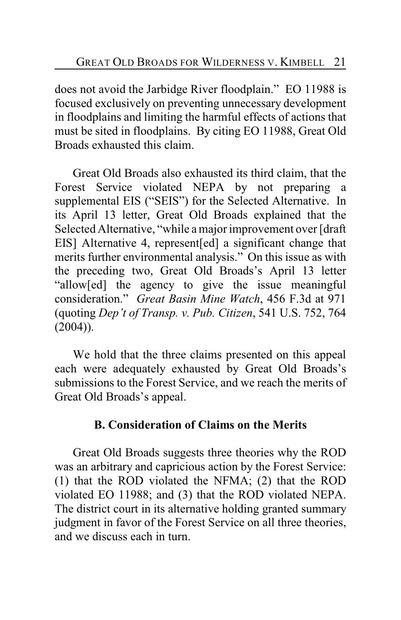does not avoid the Jarbidge River floodplain." EO 11988 is focused exclusively on preventing unnecessary development in floodplains and limiting the harmful effects of actions that must be sited in floodplains. By citing EO 11988, Great Old Broads exhausted this claim.

Great Old Broads also exhausted its third claim, that the Forest Service violated NEPA by not preparing a supplemental EIS ("SEIS") for the Selected Alternative. In its April 13 letter, Great Old Broads explained that the Selected Alternative, "while a major improvement over [draft EIS] Alternative 4, represent[ed] a significant change that merits further environmental analysis." On this issue as with the preceding two, Great Old Broads's April 13 letter "allow[ed] the agency to give the issue meaningful consideration." *Great Basin Mine Watch*, 456 F.3d at 971 (quoting *Dep't of Transp. v. Pub. Citizen*, 541 U.S. 752, 764  $(2004)$ ).

We hold that the three claims presented on this appeal each were adequately exhausted by Great Old Broads's submissions to the Forest Service, and we reach the merits of Great Old Broads's appeal.

# **B. Consideration of Claims on the Merits**

Great Old Broads suggests three theories why the ROD was an arbitrary and capricious action by the Forest Service: (1) that the ROD violated the NFMA; (2) that the ROD violated EO 11988; and (3) that the ROD violated NEPA. The district court in its alternative holding granted summary judgment in favor of the Forest Service on all three theories, and we discuss each in turn.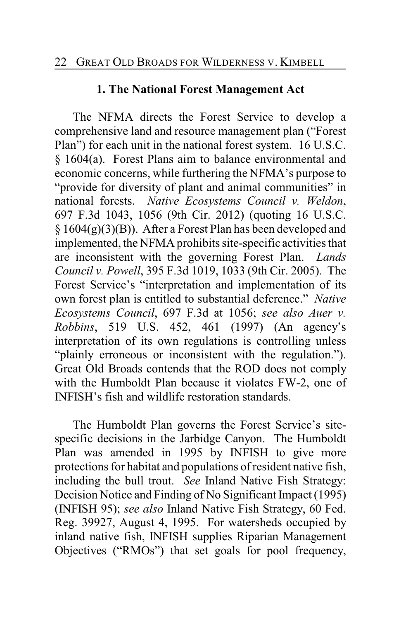# **1. The National Forest Management Act**

The NFMA directs the Forest Service to develop a comprehensive land and resource management plan ("Forest Plan") for each unit in the national forest system. 16 U.S.C. § 1604(a). Forest Plans aim to balance environmental and economic concerns, while furthering the NFMA's purpose to "provide for diversity of plant and animal communities" in national forests. *Native Ecosystems Council v. Weldon*, 697 F.3d 1043, 1056 (9th Cir. 2012) (quoting 16 U.S.C.  $§ 1604(g)(3)(B)$ . After a Forest Plan has been developed and implemented, the NFMA prohibits site-specific activities that are inconsistent with the governing Forest Plan. *Lands Council v. Powell*, 395 F.3d 1019, 1033 (9th Cir. 2005). The Forest Service's "interpretation and implementation of its own forest plan is entitled to substantial deference." *Native Ecosystems Council*, 697 F.3d at 1056; *see also Auer v. Robbins*, 519 U.S. 452, 461 (1997) (An agency's interpretation of its own regulations is controlling unless "plainly erroneous or inconsistent with the regulation."). Great Old Broads contends that the ROD does not comply with the Humboldt Plan because it violates FW-2, one of INFISH's fish and wildlife restoration standards.

The Humboldt Plan governs the Forest Service's sitespecific decisions in the Jarbidge Canyon. The Humboldt Plan was amended in 1995 by INFISH to give more protections for habitat and populations ofresident native fish, including the bull trout. *See* Inland Native Fish Strategy: Decision Notice and Finding of No Significant Impact (1995) (INFISH 95); *see also* Inland Native Fish Strategy, 60 Fed. Reg. 39927, August 4, 1995. For watersheds occupied by inland native fish, INFISH supplies Riparian Management Objectives ("RMOs") that set goals for pool frequency,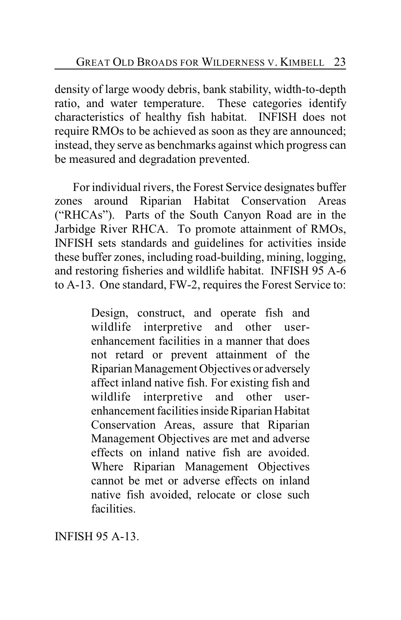density of large woody debris, bank stability, width-to-depth ratio, and water temperature. These categories identify characteristics of healthy fish habitat. INFISH does not require RMOs to be achieved as soon as they are announced; instead, they serve as benchmarks against which progress can be measured and degradation prevented.

For individual rivers, the Forest Service designates buffer zones around Riparian Habitat Conservation Areas ("RHCAs"). Parts of the South Canyon Road are in the Jarbidge River RHCA. To promote attainment of RMOs, INFISH sets standards and guidelines for activities inside these buffer zones, including road-building, mining, logging, and restoring fisheries and wildlife habitat. INFISH 95 A-6 to A-13. One standard, FW-2, requires the Forest Service to:

> Design, construct, and operate fish and wildlife interpretive and other userenhancement facilities in a manner that does not retard or prevent attainment of the Riparian Management Objectives or adversely affect inland native fish. For existing fish and wildlife interpretive and other userenhancement facilities inside Riparian Habitat Conservation Areas, assure that Riparian Management Objectives are met and adverse effects on inland native fish are avoided. Where Riparian Management Objectives cannot be met or adverse effects on inland native fish avoided, relocate or close such facilities.

INFISH 95 A-13.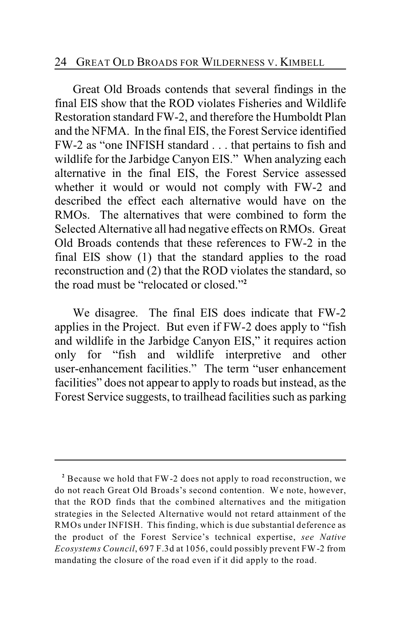### 24 GREAT OLD BROADS FOR WILDERNESS V. KIMBELL

Great Old Broads contends that several findings in the final EIS show that the ROD violates Fisheries and Wildlife Restoration standard FW-2, and therefore the Humboldt Plan and the NFMA. In the final EIS, the Forest Service identified FW-2 as "one INFISH standard . . . that pertains to fish and wildlife for the Jarbidge Canyon EIS." When analyzing each alternative in the final EIS, the Forest Service assessed whether it would or would not comply with FW-2 and described the effect each alternative would have on the RMOs. The alternatives that were combined to form the Selected Alternative all had negative effects on RMOs. Great Old Broads contends that these references to FW-2 in the final EIS show (1) that the standard applies to the road reconstruction and (2) that the ROD violates the standard, so the road must be "relocated or closed."**<sup>2</sup>**

We disagree. The final EIS does indicate that FW-2 applies in the Project. But even if FW-2 does apply to "fish and wildlife in the Jarbidge Canyon EIS," it requires action only for "fish and wildlife interpretive and other user-enhancement facilities." The term "user enhancement facilities" does not appear to apply to roads but instead, as the Forest Service suggests, to trailhead facilities such as parking

Because we hold that FW-2 does not apply to road reconstruction, we **<sup>2</sup>** do not reach Great Old Broads's second contention. We note, however, that the ROD finds that the combined alternatives and the mitigation strategies in the Selected Alternative would not retard attainment of the RMOs under INFISH. This finding, which is due substantial deference as the product of the Forest Service's technical expertise, *see Native Ecosystems Council*, 697 F.3d at 1056, could possibly prevent FW-2 from mandating the closure of the road even if it did apply to the road.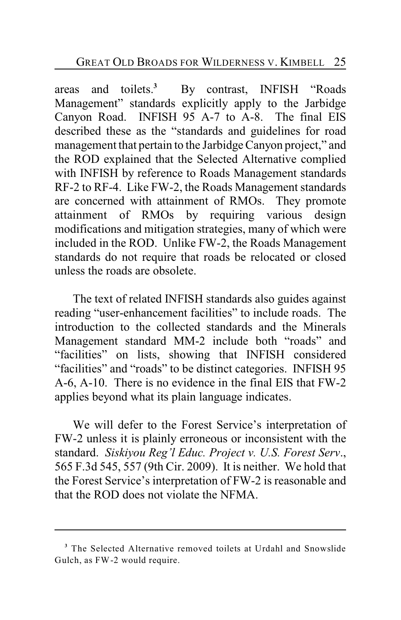areas and toilets.<sup>3</sup> By contrast, INFISH "Roads" Management" standards explicitly apply to the Jarbidge Canyon Road. INFISH 95 A-7 to A-8. The final EIS described these as the "standards and guidelines for road management that pertain to the Jarbidge Canyon project," and the ROD explained that the Selected Alternative complied with INFISH by reference to Roads Management standards RF-2 to RF-4. Like FW-2, the Roads Management standards are concerned with attainment of RMOs. They promote attainment of RMOs by requiring various design modifications and mitigation strategies, many of which were included in the ROD. Unlike FW-2, the Roads Management standards do not require that roads be relocated or closed unless the roads are obsolete.

The text of related INFISH standards also guides against reading "user-enhancement facilities" to include roads. The introduction to the collected standards and the Minerals Management standard MM-2 include both "roads" and "facilities" on lists, showing that INFISH considered "facilities" and "roads" to be distinct categories. INFISH 95 A-6, A-10. There is no evidence in the final EIS that FW-2 applies beyond what its plain language indicates.

We will defer to the Forest Service's interpretation of FW-2 unless it is plainly erroneous or inconsistent with the standard. *Siskiyou Reg'l Educ. Project v. U.S. Forest Serv*., 565 F.3d 545, 557 (9th Cir. 2009). It is neither. We hold that the Forest Service's interpretation of FW-2 is reasonable and that the ROD does not violate the NFMA.

<sup>&</sup>lt;sup>3</sup> The Selected Alternative removed toilets at Urdahl and Snowslide Gulch, as FW-2 would require.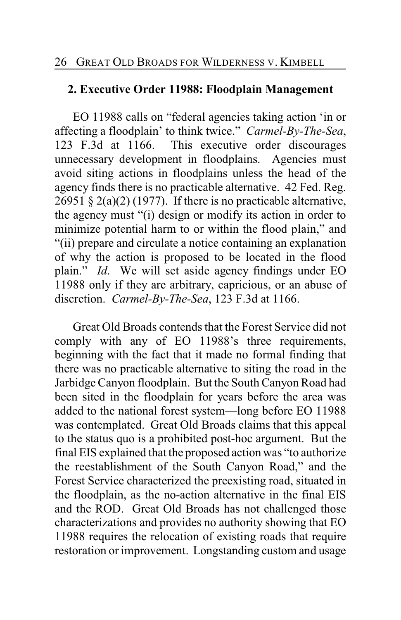# **2. Executive Order 11988: Floodplain Management**

EO 11988 calls on "federal agencies taking action 'in or affecting a floodplain' to think twice." *Carmel-By-The-Sea*, 123 F.3d at 1166. This executive order discourages unnecessary development in floodplains. Agencies must avoid siting actions in floodplains unless the head of the agency finds there is no practicable alternative. 42 Fed. Reg.  $26951 \text{ § } 2(a)(2)$  (1977). If there is no practicable alternative, the agency must "(i) design or modify its action in order to minimize potential harm to or within the flood plain," and "(ii) prepare and circulate a notice containing an explanation of why the action is proposed to be located in the flood plain." *Id*. We will set aside agency findings under EO 11988 only if they are arbitrary, capricious, or an abuse of discretion. *Carmel-By-The-Sea*, 123 F.3d at 1166.

Great Old Broads contends that the Forest Service did not comply with any of EO 11988's three requirements, beginning with the fact that it made no formal finding that there was no practicable alternative to siting the road in the Jarbidge Canyon floodplain. But the South Canyon Road had been sited in the floodplain for years before the area was added to the national forest system—long before EO 11988 was contemplated. Great Old Broads claims that this appeal to the status quo is a prohibited post-hoc argument. But the final EIS explained that the proposed action was "to authorize the reestablishment of the South Canyon Road," and the Forest Service characterized the preexisting road, situated in the floodplain, as the no-action alternative in the final EIS and the ROD. Great Old Broads has not challenged those characterizations and provides no authority showing that EO 11988 requires the relocation of existing roads that require restoration or improvement. Longstanding custom and usage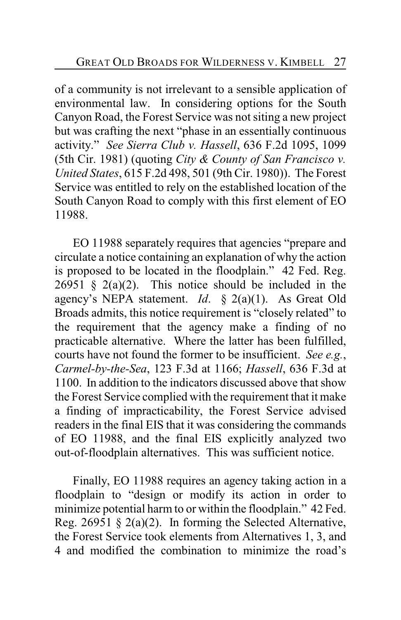of a community is not irrelevant to a sensible application of environmental law. In considering options for the South Canyon Road, the Forest Service was not siting a new project but was crafting the next "phase in an essentially continuous activity." *See Sierra Club v. Hassell*, 636 F.2d 1095, 1099 (5th Cir. 1981) (quoting *City & County of San Francisco v. United States*, 615 F.2d 498, 501 (9th Cir. 1980)). The Forest Service was entitled to rely on the established location of the South Canyon Road to comply with this first element of EO 11988.

EO 11988 separately requires that agencies "prepare and circulate a notice containing an explanation of why the action is proposed to be located in the floodplain." 42 Fed. Reg. 26951  $\frac{2}{9}$  2(a)(2). This notice should be included in the agency's NEPA statement. *Id*. § 2(a)(1). As Great Old Broads admits, this notice requirement is "closely related" to the requirement that the agency make a finding of no practicable alternative. Where the latter has been fulfilled, courts have not found the former to be insufficient. *See e.g.*, *Carmel-by-the-Sea*, 123 F.3d at 1166; *Hassell*, 636 F.3d at 1100. In addition to the indicators discussed above that show the Forest Service complied with the requirement that it make a finding of impracticability, the Forest Service advised readers in the final EIS that it was considering the commands of EO 11988, and the final EIS explicitly analyzed two out-of-floodplain alternatives. This was sufficient notice.

Finally, EO 11988 requires an agency taking action in a floodplain to "design or modify its action in order to minimize potential harm to or within the floodplain." 42 Fed. Reg. 26951  $\S$  2(a)(2). In forming the Selected Alternative, the Forest Service took elements from Alternatives 1, 3, and 4 and modified the combination to minimize the road's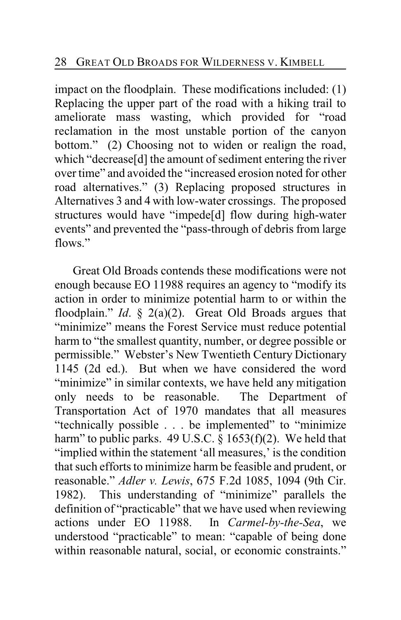impact on the floodplain. These modifications included: (1) Replacing the upper part of the road with a hiking trail to ameliorate mass wasting, which provided for "road reclamation in the most unstable portion of the canyon bottom." (2) Choosing not to widen or realign the road, which "decrease[d] the amount of sediment entering the river over time" and avoided the "increased erosion noted for other road alternatives." (3) Replacing proposed structures in Alternatives 3 and 4 with low-water crossings. The proposed structures would have "impede[d] flow during high-water events" and prevented the "pass-through of debris from large flows."

Great Old Broads contends these modifications were not enough because EO 11988 requires an agency to "modify its action in order to minimize potential harm to or within the floodplain." *Id*. § 2(a)(2). Great Old Broads argues that "minimize" means the Forest Service must reduce potential harm to "the smallest quantity, number, or degree possible or permissible." Webster's New Twentieth Century Dictionary 1145 (2d ed.). But when we have considered the word "minimize" in similar contexts, we have held any mitigation only needs to be reasonable. The Department of Transportation Act of 1970 mandates that all measures "technically possible . . . be implemented" to "minimize harm" to public parks. 49 U.S.C.  $\S$  1653(f)(2). We held that "implied within the statement 'all measures,' is the condition that such efforts to minimize harm be feasible and prudent, or reasonable." *Adler v. Lewis*, 675 F.2d 1085, 1094 (9th Cir. 1982). This understanding of "minimize" parallels the definition of "practicable" that we have used when reviewing actions under EO 11988. In *Carmel-by-the-Sea*, we understood "practicable" to mean: "capable of being done within reasonable natural, social, or economic constraints."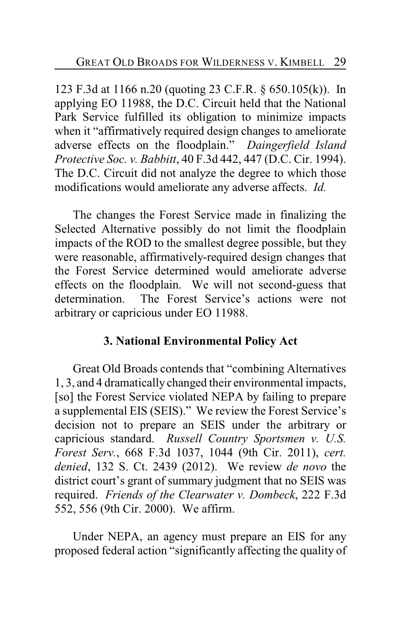123 F.3d at 1166 n.20 (quoting 23 C.F.R. § 650.105(k)). In applying EO 11988, the D.C. Circuit held that the National Park Service fulfilled its obligation to minimize impacts when it "affirmatively required design changes to ameliorate adverse effects on the floodplain." *Daingerfield Island Protective Soc. v. Babbitt*, 40 F.3d 442, 447 (D.C. Cir. 1994). The D.C. Circuit did not analyze the degree to which those modifications would ameliorate any adverse affects. *Id.*

The changes the Forest Service made in finalizing the Selected Alternative possibly do not limit the floodplain impacts of the ROD to the smallest degree possible, but they were reasonable, affirmatively-required design changes that the Forest Service determined would ameliorate adverse effects on the floodplain. We will not second-guess that determination. The Forest Service's actions were not arbitrary or capricious under EO 11988.

## **3. National Environmental Policy Act**

Great Old Broads contends that "combining Alternatives 1, 3, and 4 dramatically changed their environmental impacts, [so] the Forest Service violated NEPA by failing to prepare a supplemental EIS (SEIS)." We review the Forest Service's decision not to prepare an SEIS under the arbitrary or capricious standard. *Russell Country Sportsmen v. U.S. Forest Serv.*, 668 F.3d 1037, 1044 (9th Cir. 2011), *cert. denied*, 132 S. Ct. 2439 (2012). We review *de novo* the district court's grant of summary judgment that no SEIS was required. *Friends of the Clearwater v. Dombeck*, 222 F.3d 552, 556 (9th Cir. 2000). We affirm.

Under NEPA, an agency must prepare an EIS for any proposed federal action "significantly affecting the quality of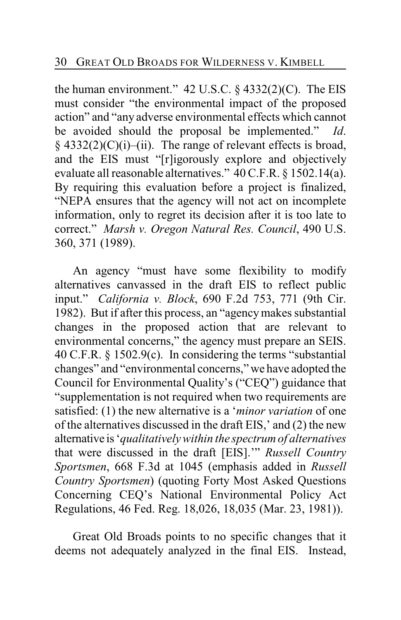the human environment."  $42$  U.S.C.  $\S$  4332(2)(C). The EIS must consider "the environmental impact of the proposed action" and "any adverse environmental effects which cannot be avoided should the proposal be implemented." *Id*.  $§$  4332(2)(C)(i)–(ii). The range of relevant effects is broad, and the EIS must "[r]igorously explore and objectively evaluate all reasonable alternatives." 40 C.F.R. § 1502.14(a). By requiring this evaluation before a project is finalized, "NEPA ensures that the agency will not act on incomplete information, only to regret its decision after it is too late to correct." *Marsh v. Oregon Natural Res. Council*, 490 U.S. 360, 371 (1989).

An agency "must have some flexibility to modify alternatives canvassed in the draft EIS to reflect public input." *California v. Block*, 690 F.2d 753, 771 (9th Cir. 1982). But if after this process, an "agencymakes substantial changes in the proposed action that are relevant to environmental concerns," the agency must prepare an SEIS. 40 C.F.R. § 1502.9(c). In considering the terms "substantial changes" and "environmental concerns," we have adopted the Council for Environmental Quality's ("CEQ") guidance that "supplementation is not required when two requirements are satisfied: (1) the new alternative is a '*minor variation* of one of the alternatives discussed in the draft EIS,' and (2) the new alternative is '*qualitatively within the spectrum of alternatives* that were discussed in the draft [EIS].'" *Russell Country Sportsmen*, 668 F.3d at 1045 (emphasis added in *Russell Country Sportsmen*) (quoting Forty Most Asked Questions Concerning CEQ's National Environmental Policy Act Regulations, 46 Fed. Reg. 18,026, 18,035 (Mar. 23, 1981)).

Great Old Broads points to no specific changes that it deems not adequately analyzed in the final EIS. Instead,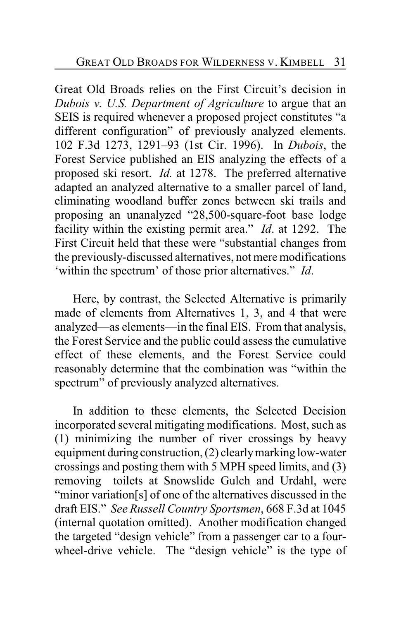Great Old Broads relies on the First Circuit's decision in *Dubois v. U.S. Department of Agriculture* to argue that an SEIS is required whenever a proposed project constitutes "a different configuration" of previously analyzed elements. 102 F.3d 1273, 1291–93 (1st Cir. 1996). In *Dubois*, the Forest Service published an EIS analyzing the effects of a proposed ski resort. *Id.* at 1278. The preferred alternative adapted an analyzed alternative to a smaller parcel of land, eliminating woodland buffer zones between ski trails and proposing an unanalyzed "28,500-square-foot base lodge facility within the existing permit area." *Id*. at 1292. The First Circuit held that these were "substantial changes from the previously-discussed alternatives, not mere modifications 'within the spectrum' of those prior alternatives." *Id*.

Here, by contrast, the Selected Alternative is primarily made of elements from Alternatives 1, 3, and 4 that were analyzed—as elements—in the final EIS. From that analysis, the Forest Service and the public could assess the cumulative effect of these elements, and the Forest Service could reasonably determine that the combination was "within the spectrum" of previously analyzed alternatives.

In addition to these elements, the Selected Decision incorporated several mitigating modifications. Most, such as (1) minimizing the number of river crossings by heavy equipment during construction, (2) clearly marking low-water crossings and posting them with 5 MPH speed limits, and (3) removing toilets at Snowslide Gulch and Urdahl, were "minor variation[s] of one of the alternatives discussed in the draft EIS." *See Russell Country Sportsmen*, 668 F.3d at 1045 (internal quotation omitted). Another modification changed the targeted "design vehicle" from a passenger car to a fourwheel-drive vehicle. The "design vehicle" is the type of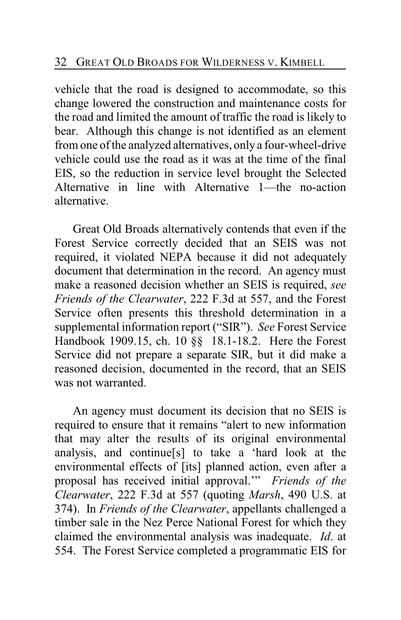vehicle that the road is designed to accommodate, so this change lowered the construction and maintenance costs for the road and limited the amount of traffic the road is likely to bear. Although this change is not identified as an element from one of the analyzed alternatives, only a four-wheel-drive vehicle could use the road as it was at the time of the final EIS, so the reduction in service level brought the Selected Alternative in line with Alternative 1—the no-action alternative.

Great Old Broads alternatively contends that even if the Forest Service correctly decided that an SEIS was not required, it violated NEPA because it did not adequately document that determination in the record. An agency must make a reasoned decision whether an SEIS is required, *see Friends of the Clearwater*, 222 F.3d at 557, and the Forest Service often presents this threshold determination in a supplemental information report ("SIR"). *See* Forest Service Handbook 1909.15, ch. 10 §§ 18.1-18.2. Here the Forest Service did not prepare a separate SIR, but it did make a reasoned decision, documented in the record, that an SEIS was not warranted.

An agency must document its decision that no SEIS is required to ensure that it remains "alert to new information that may alter the results of its original environmental analysis, and continue[s] to take a 'hard look at the environmental effects of [its] planned action, even after a proposal has received initial approval.'" *Friends of the Clearwater*, 222 F.3d at 557 (quoting *Marsh*, 490 U.S. at 374). In *Friends of the Clearwater*, appellants challenged a timber sale in the Nez Perce National Forest for which they claimed the environmental analysis was inadequate. *Id*. at 554. The Forest Service completed a programmatic EIS for